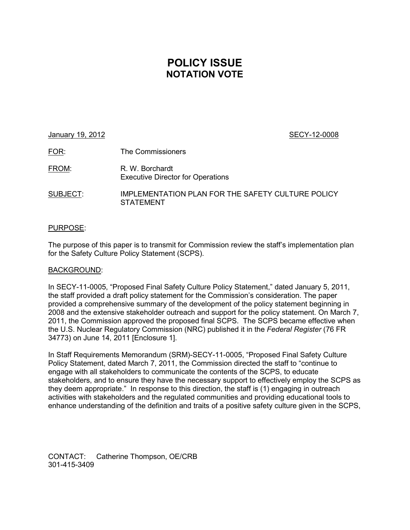# **POLICY ISSUE NOTATION VOTE**

| January 19, 2012 |                                                             | SECY-12-0008 |
|------------------|-------------------------------------------------------------|--------------|
| <u>FOR:</u>      | The Commissioners                                           |              |
| FROM:            | R. W. Borchardt<br><b>Executive Director for Operations</b> |              |

SUBJECT: IMPLEMENTATION PLAN FOR THE SAFETY CULTURE POLICY STATEMENT

# PURPOSE:

The purpose of this paper is to transmit for Commission review the staff's implementation plan for the Safety Culture Policy Statement (SCPS).

## BACKGROUND:

In SECY-11-0005, "Proposed Final Safety Culture Policy Statement," dated January 5, 2011, the staff provided a draft policy statement for the Commission's consideration. The paper provided a comprehensive summary of the development of the policy statement beginning in 2008 and the extensive stakeholder outreach and support for the policy statement. On March 7, 2011, the Commission approved the proposed final SCPS. The SCPS became effective when the U.S. Nuclear Regulatory Commission (NRC) published it in the *Federal Register* (76 FR 34773) on June 14, 2011 [Enclosure 1].

In Staff Requirements Memorandum (SRM)-SECY-11-0005, "Proposed Final Safety Culture Policy Statement, dated March 7, 2011, the Commission directed the staff to "continue to engage with all stakeholders to communicate the contents of the SCPS, to educate stakeholders, and to ensure they have the necessary support to effectively employ the SCPS as they deem appropriate." In response to this direction, the staff is (1) engaging in outreach activities with stakeholders and the regulated communities and providing educational tools to enhance understanding of the definition and traits of a positive safety culture given in the SCPS,

CONTACT: Catherine Thompson, OE/CRB 301-415-3409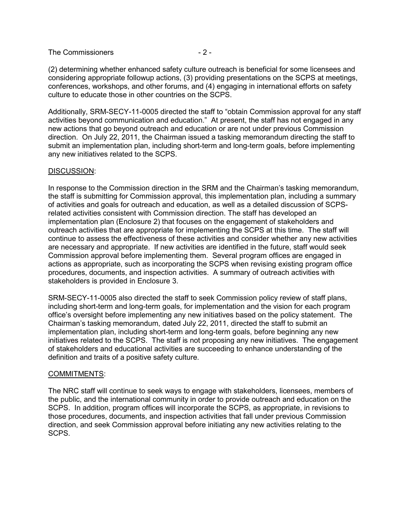## The Commissioners  $-2$  -

(2) determining whether enhanced safety culture outreach is beneficial for some licensees and considering appropriate followup actions, (3) providing presentations on the SCPS at meetings, conferences, workshops, and other forums, and (4) engaging in international efforts on safety culture to educate those in other countries on the SCPS.

Additionally, SRM-SECY-11-0005 directed the staff to "obtain Commission approval for any staff activities beyond communication and education." At present, the staff has not engaged in any new actions that go beyond outreach and education or are not under previous Commission direction. On July 22, 2011, the Chairman issued a tasking memorandum directing the staff to submit an implementation plan, including short-term and long-term goals, before implementing any new initiatives related to the SCPS.

## DISCUSSION:

In response to the Commission direction in the SRM and the Chairman's tasking memorandum, the staff is submitting for Commission approval, this implementation plan, including a summary of activities and goals for outreach and education, as well as a detailed discussion of SCPSrelated activities consistent with Commission direction. The staff has developed an implementation plan (Enclosure 2) that focuses on the engagement of stakeholders and outreach activities that are appropriate for implementing the SCPS at this time. The staff will continue to assess the effectiveness of these activities and consider whether any new activities are necessary and appropriate. If new activities are identified in the future, staff would seek Commission approval before implementing them. Several program offices are engaged in actions as appropriate, such as incorporating the SCPS when revising existing program office procedures, documents, and inspection activities. A summary of outreach activities with stakeholders is provided in Enclosure 3.

SRM-SECY-11-0005 also directed the staff to seek Commission policy review of staff plans, including short-term and long-term goals, for implementation and the vision for each program office's oversight before implementing any new initiatives based on the policy statement. The Chairman's tasking memorandum, dated July 22, 2011, directed the staff to submit an implementation plan, including short-term and long-term goals, before beginning any new initiatives related to the SCPS. The staff is not proposing any new initiatives. The engagement of stakeholders and educational activities are succeeding to enhance understanding of the definition and traits of a positive safety culture.

## COMMITMENTS:

The NRC staff will continue to seek ways to engage with stakeholders, licensees, members of the public, and the international community in order to provide outreach and education on the SCPS. In addition, program offices will incorporate the SCPS, as appropriate, in revisions to those procedures, documents, and inspection activities that fall under previous Commission direction, and seek Commission approval before initiating any new activities relating to the SCPS.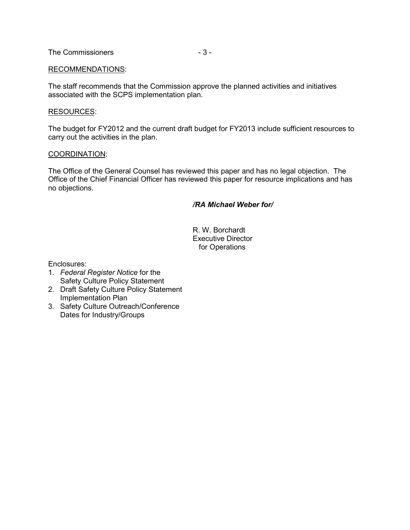## RECOMMENDATIONS:

The staff recommends that the Commission approve the planned activities and initiatives associated with the SCPS implementation plan.

#### RESOURCES:

The budget for FY2012 and the current draft budget for FY2013 include sufficient resources to carry out the activities in the plan.

#### COORDINATION:

The Office of the General Counsel has reviewed this paper and has no legal objection. The Office of the Chief Financial Officer has reviewed this paper for resource implications and has no objections.

## */RA Michael Weber for/*

 R. W. Borchardt Executive Director for Operations

Enclosures:

- 1. *Federal Register Notice* for the Safety Culture Policy Statement
- 2. Draft Safety Culture Policy Statement Implementation Plan
- 3. Safety Culture Outreach/Conference Dates for Industry/Groups